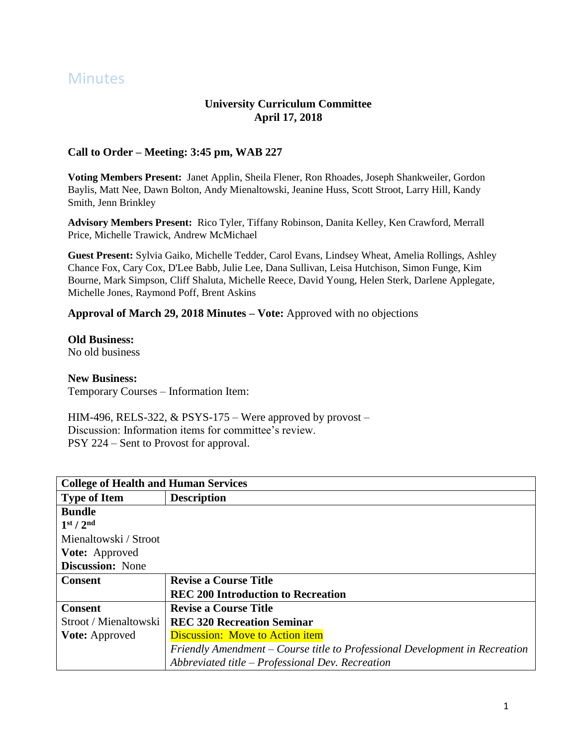# **Minutes**

# **University Curriculum Committee April 17, 2018**

## **Call to Order – Meeting: 3:45 pm, WAB 227**

**Voting Members Present:** Janet Applin, Sheila Flener, Ron Rhoades, Joseph Shankweiler, Gordon Baylis, Matt Nee, Dawn Bolton, Andy Mienaltowski, Jeanine Huss, Scott Stroot, Larry Hill, Kandy Smith, Jenn Brinkley

**Advisory Members Present:** Rico Tyler, Tiffany Robinson, Danita Kelley, Ken Crawford, Merrall Price, Michelle Trawick, Andrew McMichael

**Guest Present:** Sylvia Gaiko, Michelle Tedder, Carol Evans, Lindsey Wheat, Amelia Rollings, Ashley Chance Fox, Cary Cox, D'Lee Babb, Julie Lee, Dana Sullivan, Leisa Hutchison, Simon Funge, Kim Bourne, Mark Simpson, Cliff Shaluta, Michelle Reece, David Young, Helen Sterk, Darlene Applegate, Michelle Jones, Raymond Poff, Brent Askins

### **Approval of March 29, 2018 Minutes – Vote:** Approved with no objections

### **Old Business:**

No old business

### **New Business:**

Temporary Courses – Information Item:

HIM-496, RELS-322, & PSYS-175 – Were approved by provost – Discussion: Information items for committee's review. PSY 224 – Sent to Provost for approval.

| <b>College of Health and Human Services</b> |                                                                             |
|---------------------------------------------|-----------------------------------------------------------------------------|
| <b>Type of Item</b>                         | <b>Description</b>                                                          |
| <b>Bundle</b>                               |                                                                             |
| 1 <sup>st</sup> / 2 <sup>nd</sup>           |                                                                             |
| Mienaltowski / Stroot                       |                                                                             |
| <b>Vote:</b> Approved                       |                                                                             |
| <b>Discussion:</b> None                     |                                                                             |
| <b>Consent</b>                              | <b>Revise a Course Title</b>                                                |
|                                             | <b>REC 200 Introduction to Recreation</b>                                   |
| <b>Consent</b>                              | <b>Revise a Course Title</b>                                                |
| Stroot / Mienaltowski                       | <b>REC 320 Recreation Seminar</b>                                           |
| <b>Vote:</b> Approved                       | <b>Discussion:</b> Move to Action item                                      |
|                                             | Friendly Amendment – Course title to Professional Development in Recreation |
|                                             | Abbreviated title $-$ Professional Dev. Recreation                          |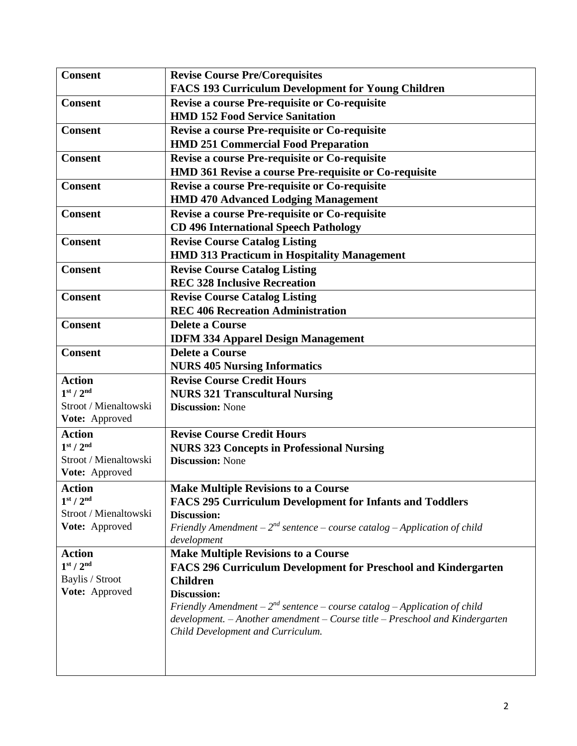| <b>Consent</b>                                             | <b>Revise Course Pre/Corequisites</b>                                                                |
|------------------------------------------------------------|------------------------------------------------------------------------------------------------------|
|                                                            | FACS 193 Curriculum Development for Young Children                                                   |
| <b>Consent</b>                                             | Revise a course Pre-requisite or Co-requisite                                                        |
|                                                            | <b>HMD 152 Food Service Sanitation</b>                                                               |
| <b>Consent</b>                                             | <b>Revise a course Pre-requisite or Co-requisite</b>                                                 |
|                                                            | <b>HMD 251 Commercial Food Preparation</b>                                                           |
| <b>Consent</b>                                             | Revise a course Pre-requisite or Co-requisite                                                        |
|                                                            | HMD 361 Revise a course Pre-requisite or Co-requisite                                                |
| <b>Consent</b>                                             | <b>Revise a course Pre-requisite or Co-requisite</b>                                                 |
|                                                            | <b>HMD 470 Advanced Lodging Management</b>                                                           |
| <b>Consent</b>                                             | Revise a course Pre-requisite or Co-requisite                                                        |
|                                                            | <b>CD 496 International Speech Pathology</b>                                                         |
| <b>Consent</b>                                             | <b>Revise Course Catalog Listing</b>                                                                 |
|                                                            | <b>HMD 313 Practicum in Hospitality Management</b>                                                   |
| <b>Consent</b>                                             | <b>Revise Course Catalog Listing</b>                                                                 |
|                                                            | <b>REC 328 Inclusive Recreation</b>                                                                  |
| <b>Consent</b>                                             | <b>Revise Course Catalog Listing</b>                                                                 |
|                                                            | <b>REC 406 Recreation Administration</b>                                                             |
| <b>Consent</b>                                             | <b>Delete a Course</b>                                                                               |
|                                                            | <b>IDFM 334 Apparel Design Management</b>                                                            |
| <b>Consent</b>                                             | <b>Delete a Course</b>                                                                               |
|                                                            | <b>NURS 405 Nursing Informatics</b>                                                                  |
| <b>Action</b>                                              | <b>Revise Course Credit Hours</b>                                                                    |
| 1 <sup>st</sup> / 2 <sup>nd</sup>                          | <b>NURS 321 Transcultural Nursing</b>                                                                |
| Stroot / Mienaltowski                                      | <b>Discussion: None</b>                                                                              |
| Vote: Approved                                             |                                                                                                      |
| <b>Action</b>                                              | <b>Revise Course Credit Hours</b>                                                                    |
| 1 <sup>st</sup> / 2 <sup>nd</sup>                          | <b>NURS 323 Concepts in Professional Nursing</b>                                                     |
| Stroot / Mienaltowski                                      | <b>Discussion: None</b>                                                                              |
| Vote: Approved                                             |                                                                                                      |
| <b>Action</b>                                              | <b>Make Multiple Revisions to a Course</b>                                                           |
| 1 <sup>st</sup> / 2 <sup>nd</sup><br>Stroot / Mienaltowski | <b>FACS 295 Curriculum Development for Infants and Toddlers</b>                                      |
| Vote: Approved                                             | <b>Discussion:</b><br>Friendly Amendment – $2^{nd}$ sentence – course catalog – Application of child |
|                                                            | development                                                                                          |
| <b>Action</b>                                              | <b>Make Multiple Revisions to a Course</b>                                                           |
| 1 <sup>st</sup> / 2 <sup>nd</sup>                          | <b>FACS 296 Curriculum Development for Preschool and Kindergarten</b>                                |
| Baylis / Stroot                                            | <b>Children</b>                                                                                      |
| Vote: Approved                                             | <b>Discussion:</b>                                                                                   |
|                                                            | Friendly Amendment – $2^{nd}$ sentence – course catalog – Application of child                       |
|                                                            | $development. - Another amendment - Course title - Preschool and Kindergarten$                       |
|                                                            | Child Development and Curriculum.                                                                    |
|                                                            |                                                                                                      |
|                                                            |                                                                                                      |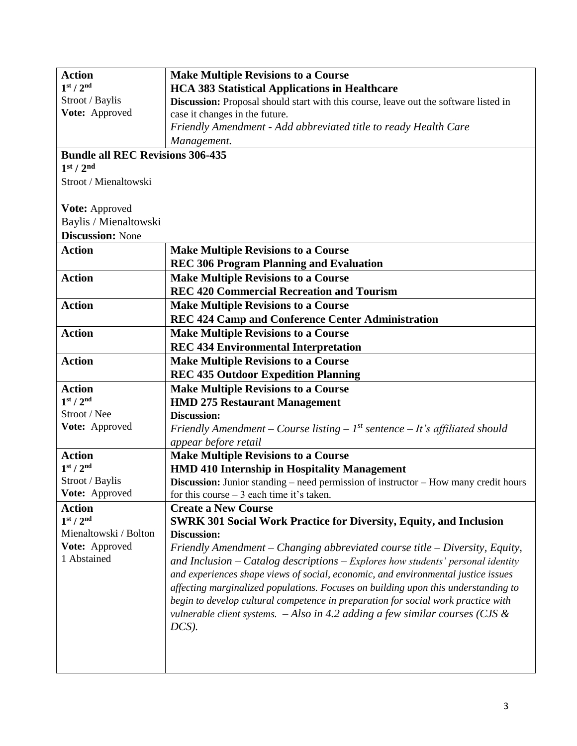| <b>Action</b>                           | <b>Make Multiple Revisions to a Course</b>                                                 |
|-----------------------------------------|--------------------------------------------------------------------------------------------|
| 1 <sup>st</sup> / 2 <sup>nd</sup>       | <b>HCA 383 Statistical Applications in Healthcare</b>                                      |
| Stroot / Baylis                         | Discussion: Proposal should start with this course, leave out the software listed in       |
| Vote: Approved                          | case it changes in the future.                                                             |
|                                         | Friendly Amendment - Add abbreviated title to ready Health Care                            |
|                                         | Management.                                                                                |
| <b>Bundle all REC Revisions 306-435</b> |                                                                                            |
| 1 <sup>st</sup> / 2 <sup>nd</sup>       |                                                                                            |
| Stroot / Mienaltowski                   |                                                                                            |
|                                         |                                                                                            |
| Vote: Approved                          |                                                                                            |
| Baylis / Mienaltowski                   |                                                                                            |
| <b>Discussion: None</b>                 |                                                                                            |
| <b>Action</b>                           | <b>Make Multiple Revisions to a Course</b>                                                 |
|                                         | <b>REC 306 Program Planning and Evaluation</b>                                             |
| <b>Action</b>                           | <b>Make Multiple Revisions to a Course</b>                                                 |
|                                         | <b>REC 420 Commercial Recreation and Tourism</b>                                           |
| <b>Action</b>                           | <b>Make Multiple Revisions to a Course</b>                                                 |
|                                         | REC 424 Camp and Conference Center Administration                                          |
| <b>Action</b>                           | <b>Make Multiple Revisions to a Course</b>                                                 |
|                                         | <b>REC 434 Environmental Interpretation</b>                                                |
| <b>Action</b>                           | <b>Make Multiple Revisions to a Course</b>                                                 |
|                                         | <b>REC 435 Outdoor Expedition Planning</b>                                                 |
| <b>Action</b>                           | <b>Make Multiple Revisions to a Course</b>                                                 |
| 1 <sup>st</sup> / 2 <sup>nd</sup>       | <b>HMD 275 Restaurant Management</b>                                                       |
| Stroot / Nee                            | Discussion:                                                                                |
| Vote: Approved                          | Friendly Amendment – Course listing – $I^{st}$ sentence – It's affiliated should           |
|                                         | appear before retail                                                                       |
| <b>Action</b>                           | <b>Make Multiple Revisions to a Course</b>                                                 |
| 1 <sup>st</sup> / 2 <sup>nd</sup>       | <b>HMD 410 Internship in Hospitality Management</b>                                        |
| Stroot / Baylis                         | <b>Discussion:</b> Junior standing – need permission of instructor – How many credit hours |
| Vote: Approved                          | for this course $-3$ each time it's taken.                                                 |
| <b>Action</b>                           | <b>Create a New Course</b>                                                                 |
| 1 <sup>st</sup> / 2 <sup>nd</sup>       | <b>SWRK 301 Social Work Practice for Diversity, Equity, and Inclusion</b>                  |
| Mienaltowski / Bolton                   | <b>Discussion:</b>                                                                         |
| Vote: Approved                          | Friendly Amendment – Changing abbreviated course title – Diversity, Equity,                |
| 1 Abstained                             | and Inclusion $-$ Catalog descriptions $-$ Explores how students' personal identity        |
|                                         | and experiences shape views of social, economic, and environmental justice issues          |
|                                         | affecting marginalized populations. Focuses on building upon this understanding to         |
|                                         | begin to develop cultural competence in preparation for social work practice with          |
|                                         | vulnerable client systems. $-A$ lso in 4.2 adding a few similar courses (CJS &             |
|                                         | $DCS$ ).                                                                                   |
|                                         |                                                                                            |
|                                         |                                                                                            |
|                                         |                                                                                            |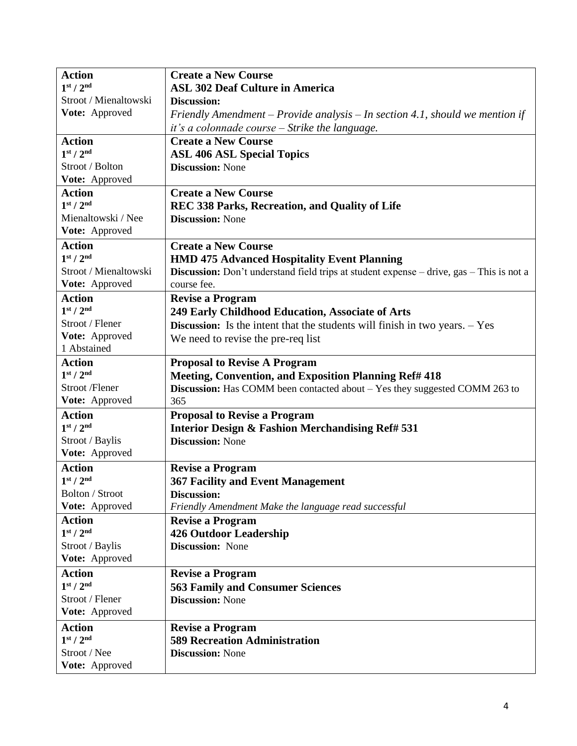| <b>Action</b>                     | <b>Create a New Course</b>                                                                      |
|-----------------------------------|-------------------------------------------------------------------------------------------------|
| 1 <sup>st</sup> / 2 <sup>nd</sup> | <b>ASL 302 Deaf Culture in America</b>                                                          |
| Stroot / Mienaltowski             | <b>Discussion:</b>                                                                              |
| Vote: Approved                    | Friendly Amendment - Provide analysis - In section 4.1, should we mention if                    |
|                                   | it's a colonnade course - Strike the language.                                                  |
| <b>Action</b>                     | <b>Create a New Course</b>                                                                      |
| 1 <sup>st</sup> / 2 <sup>nd</sup> | <b>ASL 406 ASL Special Topics</b>                                                               |
| Stroot / Bolton                   | <b>Discussion: None</b>                                                                         |
| Vote: Approved                    |                                                                                                 |
| <b>Action</b>                     | <b>Create a New Course</b>                                                                      |
| 1 <sup>st</sup> / 2 <sup>nd</sup> | REC 338 Parks, Recreation, and Quality of Life                                                  |
| Mienaltowski / Nee                | <b>Discussion: None</b>                                                                         |
| Vote: Approved                    |                                                                                                 |
| <b>Action</b>                     | <b>Create a New Course</b>                                                                      |
| 1 <sup>st</sup> / 2 <sup>nd</sup> | <b>HMD 475 Advanced Hospitality Event Planning</b>                                              |
| Stroot / Mienaltowski             | <b>Discussion:</b> Don't understand field trips at student expense – drive, gas – This is not a |
| Vote: Approved                    | course fee.                                                                                     |
| <b>Action</b>                     | <b>Revise a Program</b>                                                                         |
| 1 <sup>st</sup> / 2 <sup>nd</sup> | 249 Early Childhood Education, Associate of Arts                                                |
| Stroot / Flener                   | <b>Discussion:</b> Is the intent that the students will finish in two years. $-$ Yes            |
| Vote: Approved                    | We need to revise the pre-req list                                                              |
| 1 Abstained                       |                                                                                                 |
| <b>Action</b>                     | <b>Proposal to Revise A Program</b>                                                             |
| 1 <sup>st</sup> / 2 <sup>nd</sup> | <b>Meeting, Convention, and Exposition Planning Ref# 418</b>                                    |
| Stroot /Flener                    | Discussion: Has COMM been contacted about - Yes they suggested COMM 263 to                      |
| Vote: Approved                    | 365                                                                                             |
| <b>Action</b>                     | <b>Proposal to Revise a Program</b>                                                             |
| 1 <sup>st</sup> / 2 <sup>nd</sup> | Interior Design & Fashion Merchandising Ref# 531                                                |
| Stroot / Baylis                   | <b>Discussion: None</b>                                                                         |
| Vote: Approved                    |                                                                                                 |
| <b>Action</b>                     | <b>Revise a Program</b>                                                                         |
| 1 <sup>st</sup> / 2 <sup>nd</sup> | <b>367 Facility and Event Management</b>                                                        |
| <b>Bolton / Stroot</b>            | Discussion:                                                                                     |
| Vote: Approved                    | Friendly Amendment Make the language read successful                                            |
| <b>Action</b>                     | <b>Revise a Program</b>                                                                         |
| 1 <sup>st</sup> / 2 <sup>nd</sup> | <b>426 Outdoor Leadership</b>                                                                   |
| Stroot / Baylis                   | <b>Discussion:</b> None                                                                         |
| Vote: Approved                    |                                                                                                 |
| <b>Action</b>                     | <b>Revise a Program</b>                                                                         |
| 1 <sup>st</sup> / 2 <sup>nd</sup> | <b>563 Family and Consumer Sciences</b>                                                         |
| Stroot / Flener                   | <b>Discussion: None</b>                                                                         |
| Vote: Approved                    |                                                                                                 |
| <b>Action</b>                     | <b>Revise a Program</b>                                                                         |
| 1 <sup>st</sup> / 2 <sup>nd</sup> | <b>589 Recreation Administration</b>                                                            |
| Stroot / Nee                      | <b>Discussion: None</b>                                                                         |
| Vote: Approved                    |                                                                                                 |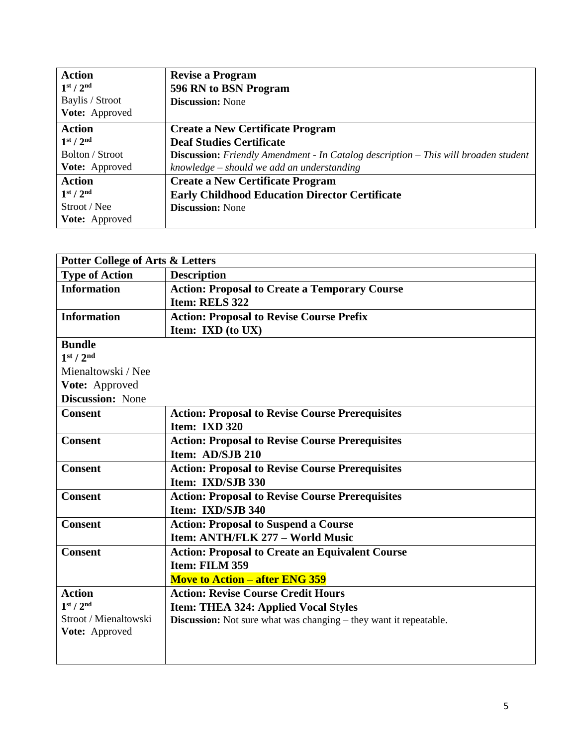| <b>Action</b>                     | <b>Revise a Program</b>                                                                      |
|-----------------------------------|----------------------------------------------------------------------------------------------|
| 1 <sup>st</sup> / 2 <sup>nd</sup> | 596 RN to BSN Program                                                                        |
| Baylis / Stroot                   | <b>Discussion:</b> None                                                                      |
| Vote: Approved                    |                                                                                              |
| <b>Action</b>                     | <b>Create a New Certificate Program</b>                                                      |
| 1 <sup>st</sup> / 2 <sup>nd</sup> | <b>Deaf Studies Certificate</b>                                                              |
| Bolton / Stroot                   | <b>Discussion:</b> Friendly Amendment - In Catalog description $-$ This will broaden student |
| Vote: Approved                    | knowledge – should we add an understanding                                                   |
| <b>Action</b>                     | <b>Create a New Certificate Program</b>                                                      |
| 1 <sup>st</sup> / 2 <sup>nd</sup> | <b>Early Childhood Education Director Certificate</b>                                        |
| Stroot / Nee                      | <b>Discussion:</b> None                                                                      |
| <b>Vote:</b> Approved             |                                                                                              |

| <b>Potter College of Arts &amp; Letters</b> |                                                                          |
|---------------------------------------------|--------------------------------------------------------------------------|
| <b>Type of Action</b>                       | <b>Description</b>                                                       |
| <b>Information</b>                          | <b>Action: Proposal to Create a Temporary Course</b>                     |
|                                             | Item: RELS 322                                                           |
| <b>Information</b>                          | <b>Action: Proposal to Revise Course Prefix</b>                          |
|                                             | Item: IXD (to UX)                                                        |
| <b>Bundle</b>                               |                                                                          |
| 1 <sup>st</sup> / 2 <sup>nd</sup>           |                                                                          |
| Mienaltowski / Nee                          |                                                                          |
| Vote: Approved                              |                                                                          |
| <b>Discussion:</b> None                     |                                                                          |
| <b>Consent</b>                              | <b>Action: Proposal to Revise Course Prerequisites</b>                   |
|                                             | Item: IXD 320                                                            |
| <b>Consent</b>                              | <b>Action: Proposal to Revise Course Prerequisites</b>                   |
|                                             | Item: AD/SJB 210                                                         |
| <b>Consent</b>                              | <b>Action: Proposal to Revise Course Prerequisites</b>                   |
|                                             | Item: IXD/SJB 330                                                        |
| <b>Consent</b>                              | <b>Action: Proposal to Revise Course Prerequisites</b>                   |
|                                             | Item: IXD/SJB 340                                                        |
| <b>Consent</b>                              | <b>Action: Proposal to Suspend a Course</b>                              |
|                                             | Item: ANTH/FLK 277 - World Music                                         |
| <b>Consent</b>                              | <b>Action: Proposal to Create an Equivalent Course</b>                   |
|                                             | Item: FILM 359                                                           |
|                                             | <b>Move to Action – after ENG 359</b>                                    |
| <b>Action</b>                               | <b>Action: Revise Course Credit Hours</b>                                |
| 1 <sup>st</sup> / 2 <sup>nd</sup>           | <b>Item: THEA 324: Applied Vocal Styles</b>                              |
| Stroot / Mienaltowski                       | <b>Discussion:</b> Not sure what was changing – they want it repeatable. |
| Vote: Approved                              |                                                                          |
|                                             |                                                                          |
|                                             |                                                                          |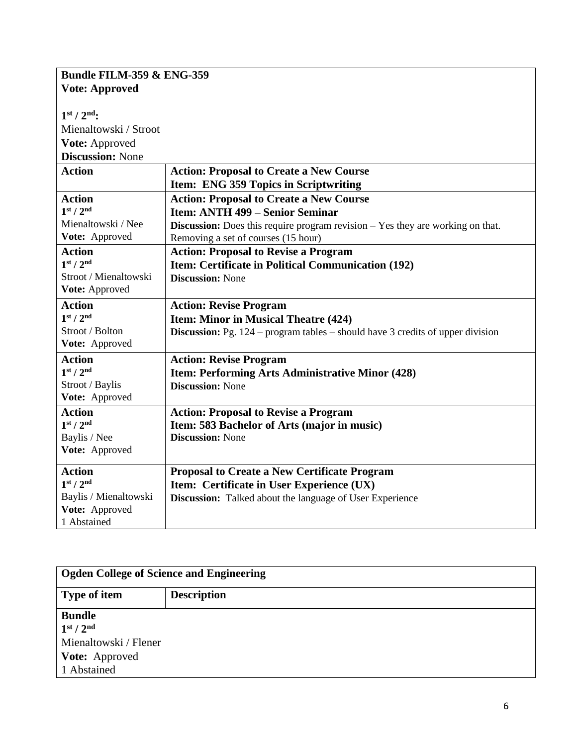| <b>Bundle FILM-359 &amp; ENG-359</b> |                                                                                         |
|--------------------------------------|-----------------------------------------------------------------------------------------|
| <b>Vote: Approved</b>                |                                                                                         |
| $1st / 2nd$ :                        |                                                                                         |
| Mienaltowski / Stroot                |                                                                                         |
| Vote: Approved                       |                                                                                         |
| <b>Discussion: None</b>              |                                                                                         |
| <b>Action</b>                        | <b>Action: Proposal to Create a New Course</b>                                          |
|                                      | Item: ENG 359 Topics in Scriptwriting                                                   |
| <b>Action</b>                        | <b>Action: Proposal to Create a New Course</b>                                          |
| 1 <sup>st</sup> / 2 <sup>nd</sup>    | <b>Item: ANTH 499 – Senior Seminar</b>                                                  |
| Mienaltowski / Nee                   | <b>Discussion:</b> Does this require program revision $-$ Yes they are working on that. |
| Vote: Approved                       | Removing a set of courses (15 hour)                                                     |
| <b>Action</b>                        | <b>Action: Proposal to Revise a Program</b>                                             |
| 1 <sup>st</sup> / 2 <sup>nd</sup>    | Item: Certificate in Political Communication (192)                                      |
| Stroot / Mienaltowski                | <b>Discussion: None</b>                                                                 |
| Vote: Approved                       |                                                                                         |
| <b>Action</b>                        | <b>Action: Revise Program</b>                                                           |
| 1 <sup>st</sup> / 2 <sup>nd</sup>    | <b>Item: Minor in Musical Theatre (424)</b>                                             |
| Stroot / Bolton                      | <b>Discussion:</b> Pg. $124$ – program tables – should have 3 credits of upper division |
| Vote: Approved                       |                                                                                         |
| <b>Action</b>                        | <b>Action: Revise Program</b>                                                           |
| 1 <sup>st</sup> / 2 <sup>nd</sup>    | Item: Performing Arts Administrative Minor (428)                                        |
| Stroot / Baylis                      | <b>Discussion: None</b>                                                                 |
| Vote: Approved                       |                                                                                         |
| <b>Action</b>                        | <b>Action: Proposal to Revise a Program</b>                                             |
| 1 <sup>st</sup> / 2 <sup>nd</sup>    | Item: 583 Bachelor of Arts (major in music)                                             |
| Baylis / Nee                         | <b>Discussion: None</b>                                                                 |
| Vote: Approved                       |                                                                                         |
| <b>Action</b>                        | <b>Proposal to Create a New Certificate Program</b>                                     |
| 1 <sup>st</sup> / 2 <sup>nd</sup>    | Item: Certificate in User Experience (UX)                                               |
| Baylis / Mienaltowski                | <b>Discussion:</b> Talked about the language of User Experience                         |
| Vote: Approved                       |                                                                                         |
| 1 Abstained                          |                                                                                         |

| Ogden College of Science and Engineering |                    |
|------------------------------------------|--------------------|
| Type of item                             | <b>Description</b> |
| <b>Bundle</b>                            |                    |
| 1 <sup>st</sup> / 2 <sup>nd</sup>        |                    |
| Mienaltowski / Flener                    |                    |
| <b>Vote:</b> Approved                    |                    |
| 1 Abstained                              |                    |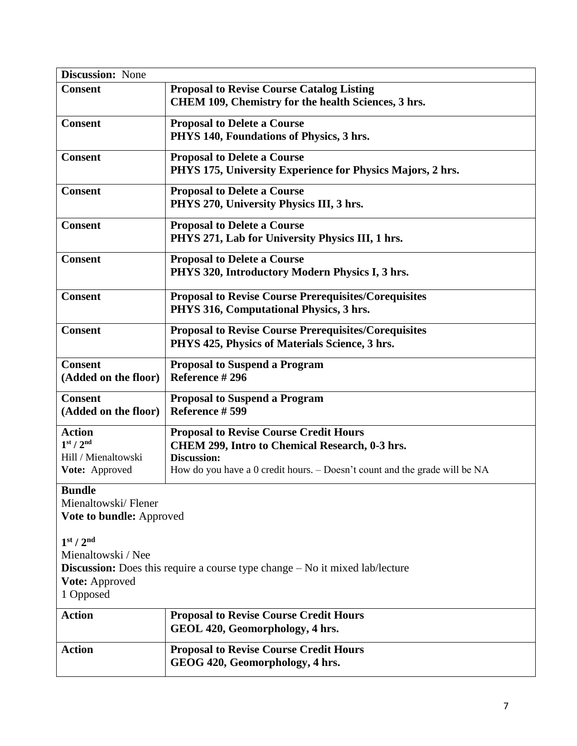| <b>Discussion:</b> None              |                                                                                                  |
|--------------------------------------|--------------------------------------------------------------------------------------------------|
| <b>Consent</b>                       | <b>Proposal to Revise Course Catalog Listing</b>                                                 |
|                                      | CHEM 109, Chemistry for the health Sciences, 3 hrs.                                              |
| <b>Consent</b>                       | <b>Proposal to Delete a Course</b>                                                               |
|                                      | PHYS 140, Foundations of Physics, 3 hrs.                                                         |
| <b>Consent</b>                       | <b>Proposal to Delete a Course</b>                                                               |
|                                      | PHYS 175, University Experience for Physics Majors, 2 hrs.                                       |
| <b>Consent</b>                       | <b>Proposal to Delete a Course</b>                                                               |
|                                      | PHYS 270, University Physics III, 3 hrs.                                                         |
| <b>Consent</b>                       | <b>Proposal to Delete a Course</b>                                                               |
|                                      | PHYS 271, Lab for University Physics III, 1 hrs.                                                 |
| <b>Consent</b>                       | <b>Proposal to Delete a Course</b>                                                               |
|                                      | PHYS 320, Introductory Modern Physics I, 3 hrs.                                                  |
| <b>Consent</b>                       | <b>Proposal to Revise Course Prerequisites/Corequisites</b>                                      |
|                                      | PHYS 316, Computational Physics, 3 hrs.                                                          |
| <b>Consent</b>                       | <b>Proposal to Revise Course Prerequisites/Corequisites</b>                                      |
|                                      | PHYS 425, Physics of Materials Science, 3 hrs.                                                   |
| <b>Consent</b>                       | <b>Proposal to Suspend a Program</b>                                                             |
| (Added on the floor)                 | Reference #296                                                                                   |
| <b>Consent</b>                       | <b>Proposal to Suspend a Program</b>                                                             |
| (Added on the floor)                 | Reference #599                                                                                   |
| <b>Action</b>                        | <b>Proposal to Revise Course Credit Hours</b>                                                    |
| 1 <sup>st</sup> / 2 <sup>nd</sup>    | CHEM 299, Intro to Chemical Research, 0-3 hrs.                                                   |
| Hill / Mienaltowski                  | <b>Discussion:</b><br>How do you have a 0 credit hours. – Doesn't count and the grade will be NA |
| Vote: Approved                       |                                                                                                  |
| <b>Bundle</b><br>Mienaltowski/Flener |                                                                                                  |
| Vote to bundle: Approved             |                                                                                                  |
|                                      |                                                                                                  |
| 1 <sup>st</sup> / 2 <sup>nd</sup>    |                                                                                                  |
| Mienaltowski / Nee                   |                                                                                                  |
|                                      | <b>Discussion:</b> Does this require a course type change – No it mixed lab/lecture              |
| <b>Vote: Approved</b>                |                                                                                                  |
| 1 Opposed                            |                                                                                                  |
| <b>Action</b>                        | <b>Proposal to Revise Course Credit Hours</b>                                                    |
|                                      | GEOL 420, Geomorphology, 4 hrs.                                                                  |
| <b>Action</b>                        | <b>Proposal to Revise Course Credit Hours</b>                                                    |
|                                      | GEOG 420, Geomorphology, 4 hrs.                                                                  |